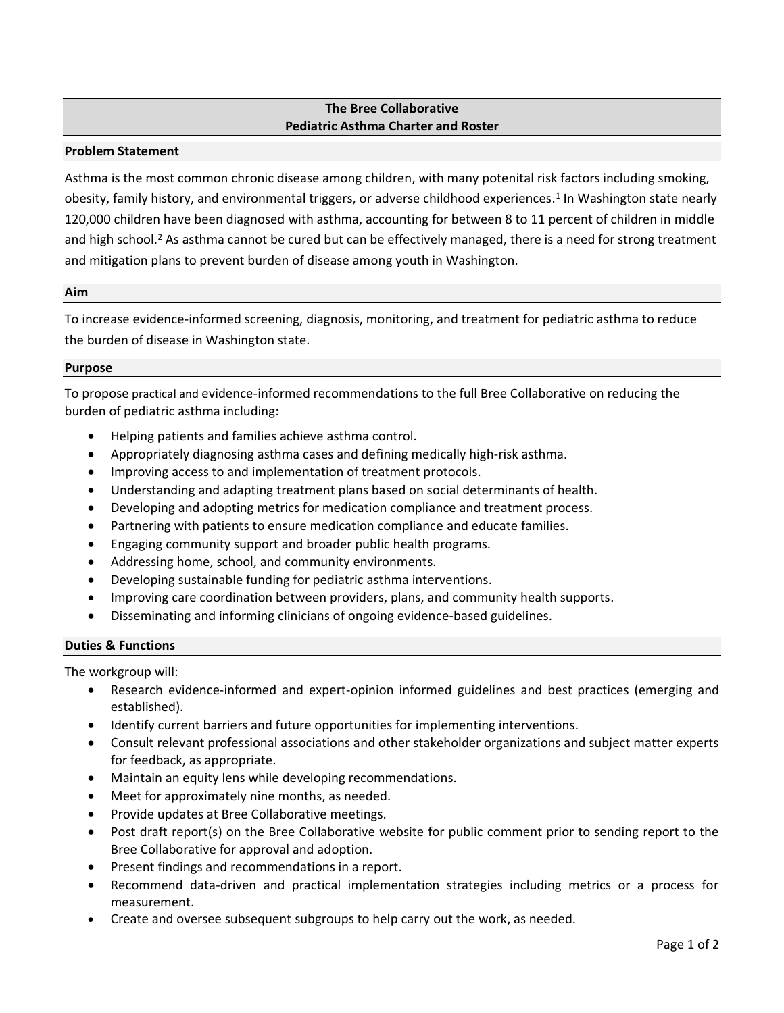## **The Bree Collaborative Pediatric Asthma Charter and Roster**

### **Problem Statement**

Asthma is the most common chronic disease among children, with many potenital risk factors including smoking, obesity, family history, and environmental triggers, or adverse childhood experiences. 1 In Washington state nearly 120,000 children have been diagnosed with asthma, accounting for between 8 to 11 percent of children in middle and high school.<sup>2</sup> As asthma cannot be cured but can be effectively managed, there is a need for strong treatment and mitigation plans to prevent burden of disease among youth in Washington.

#### **Aim**

To increase evidence-informed screening, diagnosis, monitoring, and treatment for pediatric asthma to reduce the burden of disease in Washington state.

### **Purpose**

To propose practical and evidence-informed recommendations to the full Bree Collaborative on reducing the burden of pediatric asthma including:

- Helping patients and families achieve asthma control.
- Appropriately diagnosing asthma cases and defining medically high-risk asthma.
- Improving access to and implementation of treatment protocols.
- Understanding and adapting treatment plans based on social determinants of health.
- Developing and adopting metrics for medication compliance and treatment process.
- Partnering with patients to ensure medication compliance and educate families.
- Engaging community support and broader public health programs.
- Addressing home, school, and community environments.
- Developing sustainable funding for pediatric asthma interventions.
- Improving care coordination between providers, plans, and community health supports.
- Disseminating and informing clinicians of ongoing evidence-based guidelines.

# **Duties & Functions**

The workgroup will:

- Research evidence-informed and expert-opinion informed guidelines and best practices (emerging and established).
- Identify current barriers and future opportunities for implementing interventions.
- Consult relevant professional associations and other stakeholder organizations and subject matter experts for feedback, as appropriate.
- Maintain an equity lens while developing recommendations.
- Meet for approximately nine months, as needed.
- Provide updates at Bree Collaborative meetings.
- Post draft report(s) on the Bree Collaborative website for public comment prior to sending report to the Bree Collaborative for approval and adoption.
- Present findings and recommendations in a report.
- Recommend data-driven and practical implementation strategies including metrics or a process for measurement.
- Create and oversee subsequent subgroups to help carry out the work, as needed.